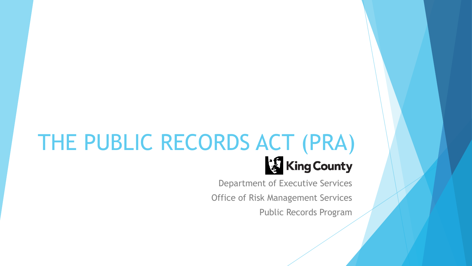# THE PUBLIC RECORDS ACT (PRA)

Department of Executive Services

Office of Risk Management Services

Public Records Program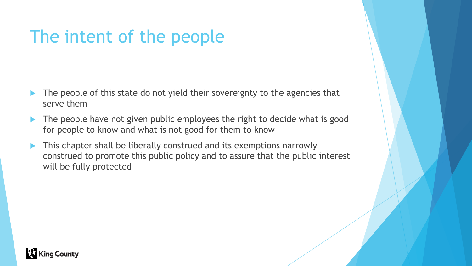# The intent of the people

- The people of this state do not yield their sovereignty to the agencies that serve them
- The people have not given public employees the right to decide what is good for people to know and what is not good for them to know
- **This chapter shall be liberally construed and its exemptions narrowly** construed to promote this public policy and to assure that the public interest will be fully protected

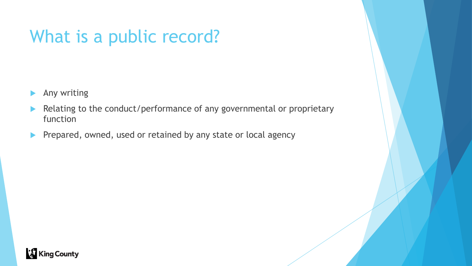# What is a public record?

- Any writing
- Relating to the conduct/performance of any governmental or proprietary function
- Prepared, owned, used or retained by any state or local agency

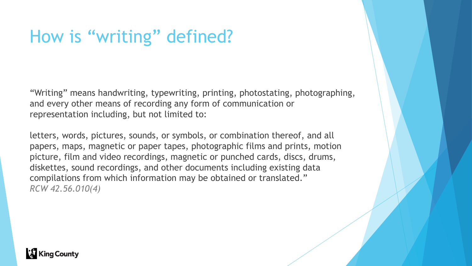### How is "writing" defined?

"Writing" means handwriting, typewriting, printing, photostating, photographing, and every other means of recording any form of communication or representation including, but not limited to:

letters, words, pictures, sounds, or symbols, or combination thereof, and all papers, maps, magnetic or paper tapes, photographic films and prints, motion picture, film and video recordings, magnetic or punched cards, discs, drums, diskettes, sound recordings, and other documents including existing data compilations from which information may be obtained or translated." *RCW 42.56.010(4)*

#### **X** King County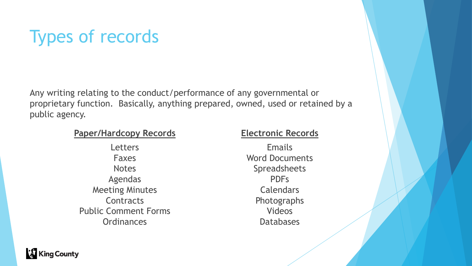# Types of records

Any writing relating to the conduct/performance of any governmental or proprietary function. Basically, anything prepared, owned, used or retained by a public agency.

#### **Paper/Hardcopy Records Electronic Records**

**Letters** Faxes **Notes** Agendas Meeting Minutes **Contracts** Public Comment Forms **Ordinances** 

Emails Word Documents Spreadsheets PDFs Calendars Photographs Videos Databases

**King County**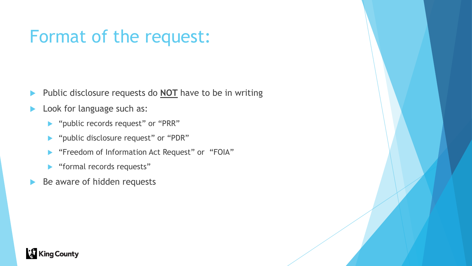#### Format of the request:

- Public disclosure requests do **NOT** have to be in writing
- Look for language such as:
	- **Demonstmance 19 years in Sequest"** or "PRR"
	- **Democrative in Supersury 19 years 10 years 10 years 10 years of "PDR"**
	- "Freedom of Information Act Request" or "FOIA"
	- "formal records requests"
- Be aware of hidden requests

#### **King County**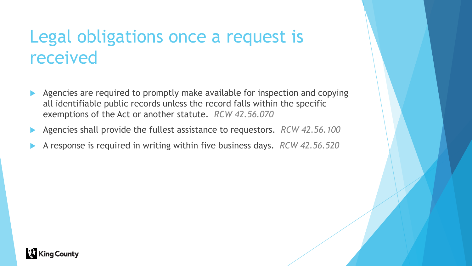#### Legal obligations once a request is received

- Agencies are required to promptly make available for inspection and copying all identifiable public records unless the record falls within the specific exemptions of the Act or another statute. *RCW 42.56.070*
- Agencies shall provide the fullest assistance to requestors. *RCW 42.56.100*
- A response is required in writing within five business days. *RCW 42.56.520*

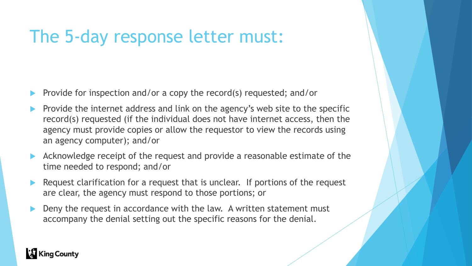#### The 5-day response letter must:

- Provide for inspection and/or a copy the record(s) requested; and/or
- Provide the internet address and link on the agency's web site to the specific record(s) requested (if the individual does not have internet access, then the agency must provide copies or allow the requestor to view the records using an agency computer); and/or
- Acknowledge receipt of the request and provide a reasonable estimate of the time needed to respond; and/or
- Request clarification for a request that is unclear. If portions of the request are clear, the agency must respond to those portions; or
- Deny the request in accordance with the law. A written statement must accompany the denial setting out the specific reasons for the denial.

#### **X** King County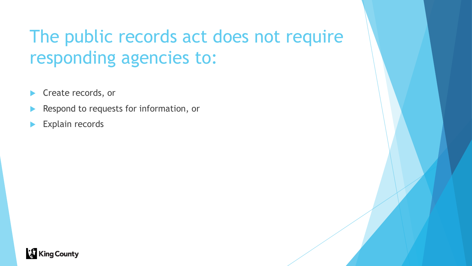# The public records act does not require responding agencies to:

- Create records, or
- Respond to requests for information, or
- Explain records

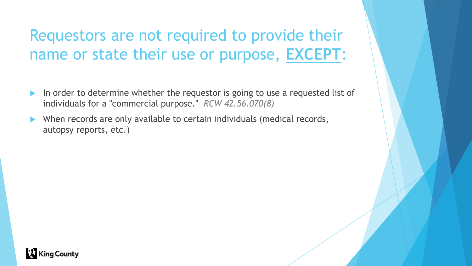#### Requestors are not required to provide their name or state their use or purpose, **EXCEPT**:

- In order to determine whether the requestor is going to use a requested list of individuals for a "commercial purpose." *RCW 42.56.070(8)*
- When records are only available to certain individuals (medical records, autopsy reports, etc.)

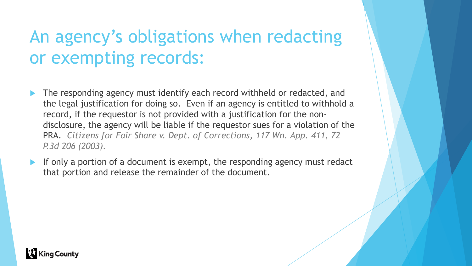# An agency's obligations when redacting or exempting records:

- The responding agency must identify each record withheld or redacted, and the legal justification for doing so. Even if an agency is entitled to withhold a record, if the requestor is not provided with a justification for the nondisclosure, the agency will be liable if the requestor sues for a violation of the PRA. *Citizens for Fair Share v. Dept. of Corrections, 117 Wn. App. 411, 72 P.3d 206 (2003).*
- If only a portion of a document is exempt, the responding agency must redact that portion and release the remainder of the document.

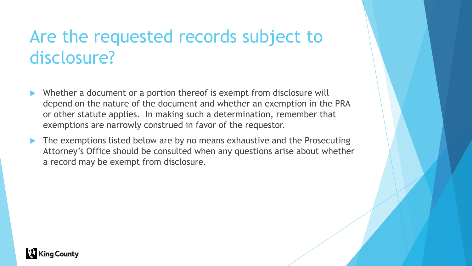#### Are the requested records subject to disclosure?

- Whether a document or a portion thereof is exempt from disclosure will depend on the nature of the document and whether an exemption in the PRA or other statute applies. In making such a determination, remember that exemptions are narrowly construed in favor of the requestor.
- The exemptions listed below are by no means exhaustive and the Prosecuting Attorney's Office should be consulted when any questions arise about whether a record may be exempt from disclosure.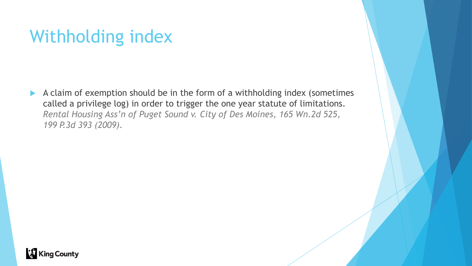### Withholding index

A claim of exemption should be in the form of a withholding index (sometimes called a privilege log) in order to trigger the one year statute of limitations. *Rental Housing Ass'n of Puget Sound v. City of Des Moines, 165 Wn.2d 525, 199 P.3d 393 (2009).*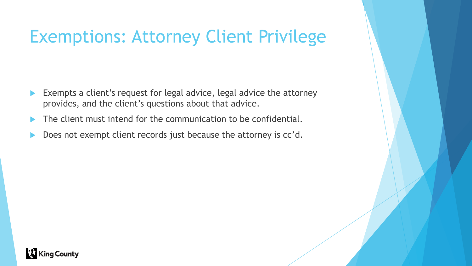### Exemptions: Attorney Client Privilege

- Exempts a client's request for legal advice, legal advice the attorney provides, and the client's questions about that advice.
- The client must intend for the communication to be confidential.
- Does not exempt client records just because the attorney is cc'd.

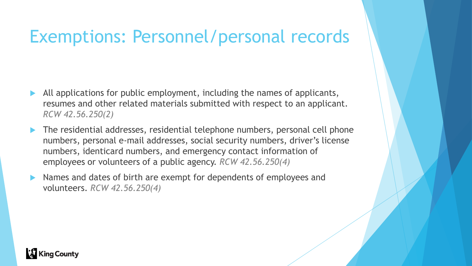#### Exemptions: Personnel/personal records

- All applications for public employment, including the names of applicants, resumes and other related materials submitted with respect to an applicant. *RCW 42.56.250(2)*
- The residential addresses, residential telephone numbers, personal cell phone numbers, personal e-mail addresses, social security numbers, driver's license numbers, identicard numbers, and emergency contact information of employees or volunteers of a public agency. *RCW 42.56.250(4)*
- Names and dates of birth are exempt for dependents of employees and volunteers. *RCW 42.56.250(4)*

#### **King County**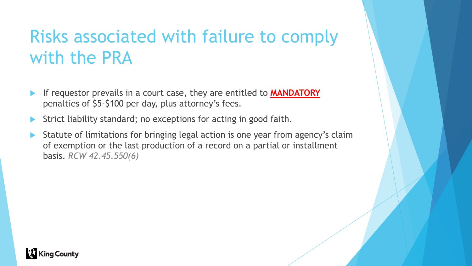### Risks associated with failure to comply with the PRA

- If requestor prevails in a court case, they are entitled to **MANDATORY** penalties of \$5-\$100 per day, plus attorney's fees.
- Strict liability standard; no exceptions for acting in good faith.
- Statute of limitations for bringing legal action is one year from agency's claim of exemption or the last production of a record on a partial or installment basis. *RCW 42.45.550(6)*

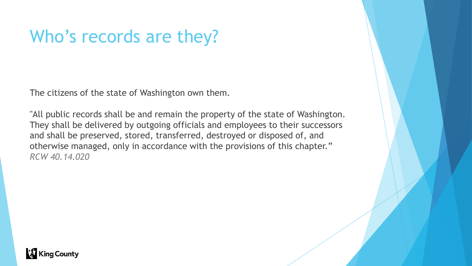#### Who's records are they?

The citizens of the state of Washington own them.

"All public records shall be and remain the property of the state of Washington. They shall be delivered by outgoing officials and employees to their successors and shall be preserved, stored, transferred, destroyed or disposed of, and otherwise managed, only in accordance with the provisions of this chapter." *RCW 40.14.020*

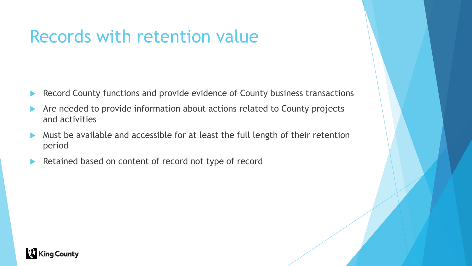#### Records with retention value

- Record County functions and provide evidence of County business transactions
- Are needed to provide information about actions related to County projects and activities
- Must be available and accessible for at least the full length of their retention period
- Retained based on content of record not type of record

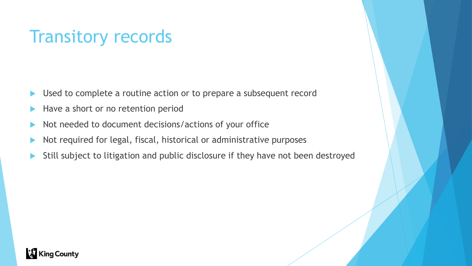#### Transitory records

- Used to complete a routine action or to prepare a subsequent record
- Have a short or no retention period
- Not needed to document decisions/actions of your office
- Not required for legal, fiscal, historical or administrative purposes
- Still subject to litigation and public disclosure if they have not been destroyed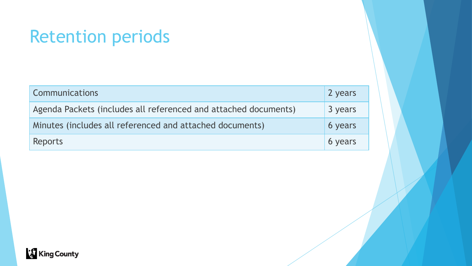#### Retention periods

| <b>Communications</b>                                           | 2 years |
|-----------------------------------------------------------------|---------|
| Agenda Packets (includes all referenced and attached documents) | 3 years |
| Minutes (includes all referenced and attached documents)        | 6 years |
| Reports                                                         | 6 years |